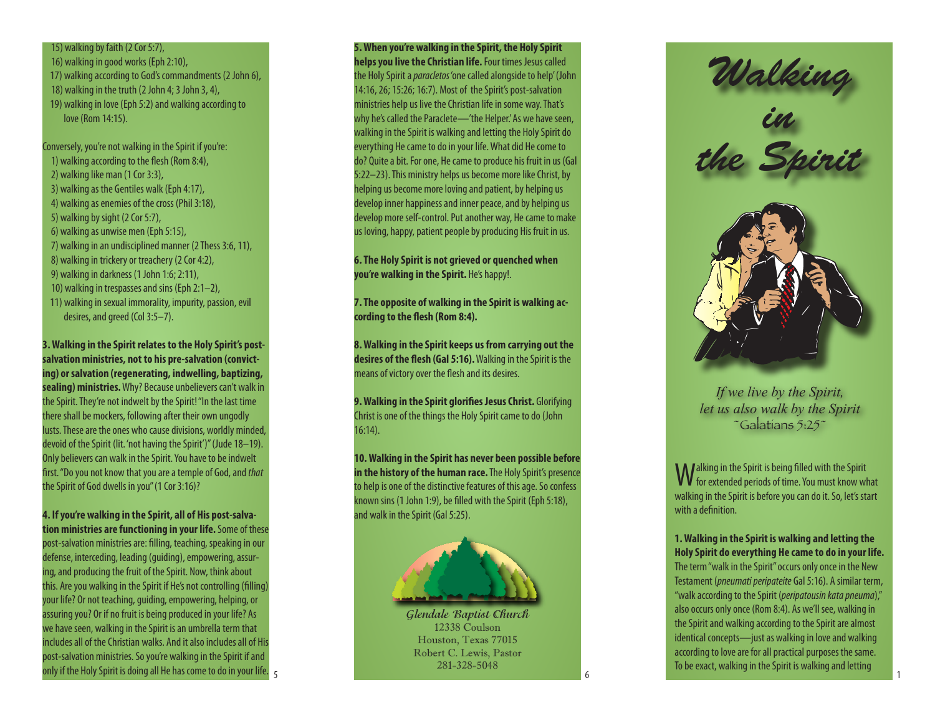## 15) walking by faith (2 Cor 5:7),

16) walking in good works (Eph 2:10), 17) walking according to God's commandments (2 John 6), 18) walking in the truth (2 John 4; 3 John 3, 4), 19) walking in love (Eph 5:2) and walking according to love (Rom 14:15).

Conversely, you're not walking in the Spirit if you're: 1) walking according to the flesh (Rom 8:4), 2) walking like man (1 Cor 3:3), 3) walking as the Gentiles walk (Eph 4:17), 4) walking as enemies of the cross (Phil 3:18), 5) walking by sight (2 Cor 5:7), 6) walking as unwise men (Eph 5:15), 7) walking in an undisciplined manner (2 Thess 3:6, 11), 8) walking in trickery or treachery (2 Cor 4:2), 9) walking in darkness (1 John 1:6; 2:11), 10) walking in trespasses and sins (Eph 2:1–2), 11) walking in sexual immorality, impurity, passion, evil

desires, and greed (Col 3:5–7).

**3. Walking in the Spirit relates to the Holy Spirit's postsalvation ministries, not to his pre-salvation (convicting) or salvation (regenerating, indwelling, baptizing, sealing) ministries.** Why? Because unbelievers can't walk in the Spirit. They're not indwelt by the Spirit! "In the last time there shall be mockers, following after their own ungodly lusts. These are the ones who cause divisions, worldly minded, devoid of the Spirit (lit. 'not having the Spirit')" (Jude 18–19). Only believers can walk in the Spirit. You have to be indwelt first. "Do you not know that you are a temple of God, and *that* the Spirit of God dwells in you" (1 Cor 3:16)?

**4. If you're walking in the Spirit, all of His post-salva tion ministries are functioning in your life.** Some of these post-salvation ministries are: filling, teaching, speaking in our defense, interceding, leading (guiding), empowering, assur ing, and producing the fruit of the Spirit. Now, think about this. Are you walking in the Spirit if He's not controlling (filling) your life? Or not teaching, guiding, empowering, helping, or assuring you? Or if no fruit is being produced in your life? As we have seen, walking in the Spirit is an umbrella term that includes all of the Christian walks. And it also includes all of His post-salvation ministries. So you're walking in the Spirit if and only if the Holy Spirit is doing all He has come to do in your life. 5 **5. When you're walking in the Spirit, the Holy Spirit helps you live the Christian life.** Four times Jesus called

the Holy Spirit a *paracletos* 'one called alongside to help' (John 14:16, 26; 15:26; 16:7). Most of the Spirit's post-salvation ministries help us live the Christian life in some way. That's why he's called the Paraclete—'the Helper.' As we have seen, walking in the Spirit is walking and letting the Holy Spirit do everything He came to do in your life. What did He come to do? Quite a bit. For one, He came to produce his fruit in us (Gal 5:22–23). This ministry helps us become more like Christ, by helping us become more loving and patient, by helping us develop inner happiness and inner peace, and by helping us develop more self-control. Put another way, He came to make us loving, happy, patient people by producing His fruit in us.

**6. The Holy Spirit is not grieved or quenched when you're walking in the Spirit.** He's happy!.

**7. The opposite of walking in the Spirit is walking ac cording to the flesh (Rom 8:4).**

**8. Walking in the Spirit keeps us from carrying out the desires of the flesh (Gal 5:16).** Walking in the Spirit is the means of victory over the flesh and its desires.

**9. Walking in the Spirit glorifies Jesus Christ.** Glorifying Christ is one of the things the Holy Spirit came to do (John 16:14).

**10. Walking in the Spirit has never been possible before in the history of the human race.** The Holy Spirit's presence to help is one of the distinctive features of this age. So confess known sins (1 John 1:9), be filled with the Spirit (Eph 5:18), and walk in the Spirit (Gal 5:25).



**Glendale Baptist Church** 12338 Coulson Houston, Texas 77015 Robert C. Lewis, Pastor 281-328-5048



*If we live by the Spirit, let us also walk by the Spirit* ~Galatians 5:25~

Walking in the Spirit is being filled with the Spirit for extended periods of time. You must know what walking in the Spirit is before you can do it. So, let's start with a definition.

**1. Walking in the Spirit is walking and letting the Holy Spirit do everything He came to do in your life.** The term "walk in the Spirit" occurs only once in the New Testament (*pneumati peripateite* Gal 5:16). A similar term, "walk according to the Spirit (*peripatousin kata pneuma*)," also occurs only once (Rom 8:4). As we'll see, walking in the Spirit and walking according to the Spirit are almost identical concepts—just as walking in love and walking according to love are for all practical purposes the same. To be exact, walking in the Spirit is walking and letting